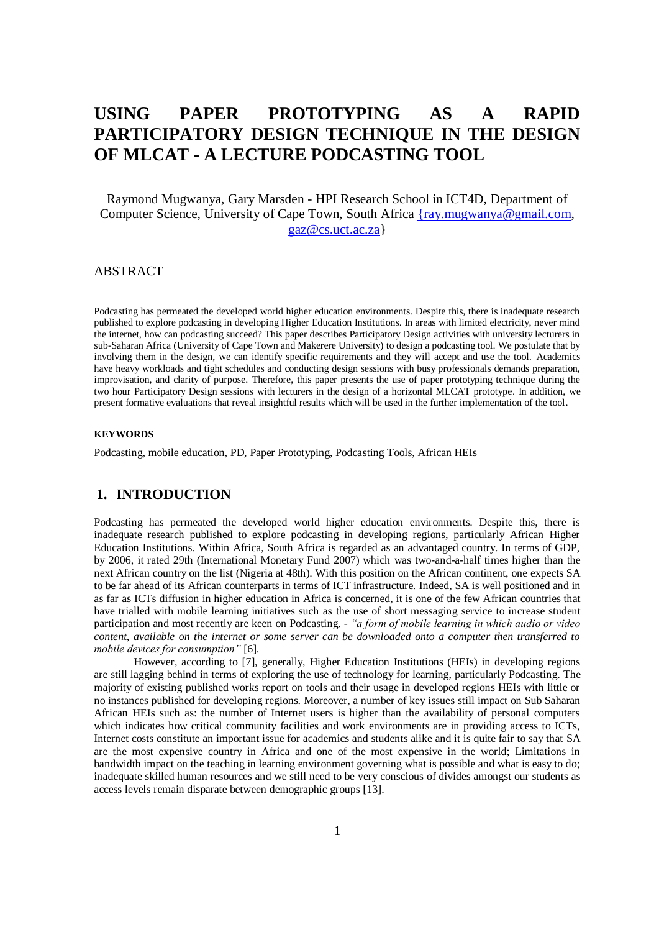# **USING PAPER PROTOTYPING AS A RAPID PARTICIPATORY DESIGN TECHNIQUE IN THE DESIGN OF MLCAT - A LECTURE PODCASTING TOOL**

Raymond Mugwanya, Gary Marsden - HPI Research School in ICT4D, Department of Computer Science, University of Cape Town, South Africa [{ray.mugwanya@gmail.com,](mailto:%7Bray.mugwanya@gmail.com) [gaz@cs.uct.ac.za}](mailto:gaz@cs.uct.ac.za)

## ABSTRACT

Podcasting has permeated the developed world higher education environments. Despite this, there is inadequate research published to explore podcasting in developing Higher Education Institutions. In areas with limited electricity, never mind the internet, how can podcasting succeed? This paper describes Participatory Design activities with university lecturers in sub-Saharan Africa (University of Cape Town and Makerere University) to design a podcasting tool. We postulate that by involving them in the design, we can identify specific requirements and they will accept and use the tool. Academics have heavy workloads and tight schedules and conducting design sessions with busy professionals demands preparation, improvisation, and clarity of purpose. Therefore, this paper presents the use of paper prototyping technique during the two hour Participatory Design sessions with lecturers in the design of a horizontal MLCAT prototype. In addition, we present formative evaluations that reveal insightful results which will be used in the further implementation of the tool.

#### **KEYWORDS**

Podcasting, mobile education, PD, Paper Prototyping, Podcasting Tools, African HEIs

# **1. INTRODUCTION**

Podcasting has permeated the developed world higher education environments. Despite this, there is inadequate research published to explore podcasting in developing regions, particularly African Higher Education Institutions. Within Africa, South Africa is regarded as an advantaged country. In terms of GDP, by 2006, it rated 29th (International Monetary Fund 2007) which was two-and-a-half times higher than the next African country on the list (Nigeria at 48th). With this position on the African continent, one expects SA to be far ahead of its African counterparts in terms of ICT infrastructure. Indeed, SA is well positioned and in as far as ICTs diffusion in higher education in Africa is concerned, it is one of the few African countries that have trialled with mobile learning initiatives such as the use of short messaging service to increase student participation and most recently are keen on Podcasting. - *"a form of mobile learning in which audio or video content, available on the internet or some server can be downloaded onto a computer then transferred to mobile devices for consumption"* [6].

However, according to [7], generally, Higher Education Institutions (HEIs) in developing regions are still lagging behind in terms of exploring the use of technology for learning, particularly Podcasting. The majority of existing published works report on tools and their usage in developed regions HEIs with little or no instances published for developing regions. Moreover, a number of key issues still impact on Sub Saharan African HEIs such as: the number of Internet users is higher than the availability of personal computers which indicates how critical community facilities and work environments are in providing access to ICTs, Internet costs constitute an important issue for academics and students alike and it is quite fair to say that SA are the most expensive country in Africa and one of the most expensive in the world; Limitations in bandwidth impact on the teaching in learning environment governing what is possible and what is easy to do; inadequate skilled human resources and we still need to be very conscious of divides amongst our students as access levels remain disparate between demographic groups [13].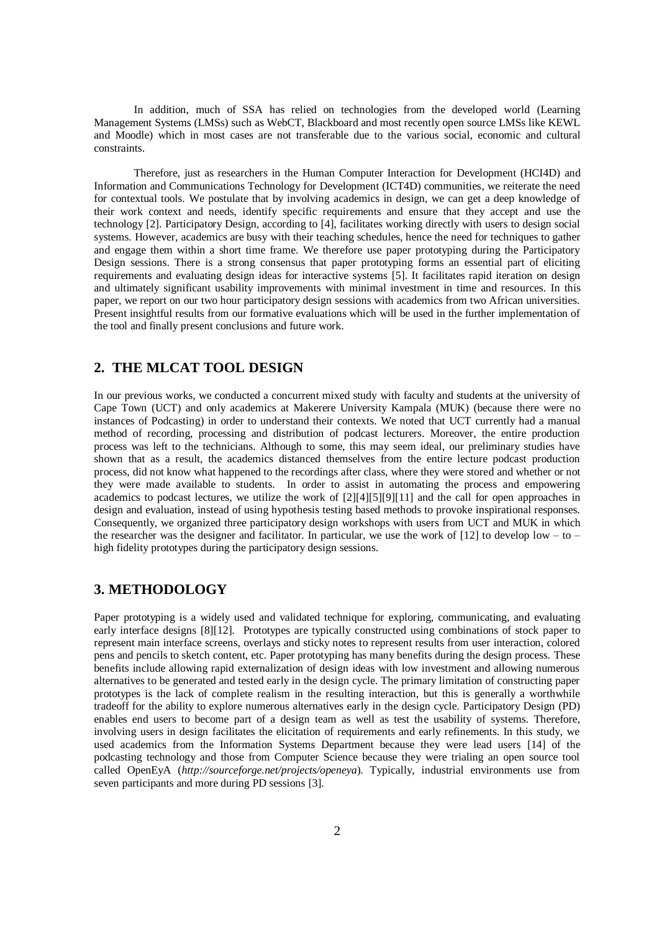In addition, much of SSA has relied on technologies from the developed world (Learning Management Systems (LMSs) such as WebCT, Blackboard and most recently open source LMSs like KEWL and Moodle) which in most cases are not transferable due to the various social, economic and cultural constraints.

Therefore, just as researchers in the Human Computer Interaction for Development (HCI4D) and Information and Communications Technology for Development (ICT4D) communities, we reiterate the need for contextual tools. We postulate that by involving academics in design, we can get a deep knowledge of their work context and needs, identify specific requirements and ensure that they accept and use the technology [2]. Participatory Design, according to [4], facilitates working directly with users to design social systems. However, academics are busy with their teaching schedules, hence the need for techniques to gather and engage them within a short time frame. We therefore use paper prototyping during the Participatory Design sessions. There is a strong consensus that paper prototyping forms an essential part of eliciting requirements and evaluating design ideas for interactive systems [5]. It facilitates rapid iteration on design and ultimately significant usability improvements with minimal investment in time and resources. In this paper, we report on our two hour participatory design sessions with academics from two African universities. Present insightful results from our formative evaluations which will be used in the further implementation of the tool and finally present conclusions and future work.

# **2. THE MLCAT TOOL DESIGN**

In our previous works, we conducted a concurrent mixed study with faculty and students at the university of Cape Town (UCT) and only academics at Makerere University Kampala (MUK) (because there were no instances of Podcasting) in order to understand their contexts. We noted that UCT currently had a manual method of recording, processing and distribution of podcast lecturers. Moreover, the entire production process was left to the technicians. Although to some, this may seem ideal, our preliminary studies have shown that as a result, the academics distanced themselves from the entire lecture podcast production process, did not know what happened to the recordings after class, where they were stored and whether or not they were made available to students. In order to assist in automating the process and empowering academics to podcast lectures, we utilize the work of [2][4][5][9][11] and the call for open approaches in design and evaluation, instead of using hypothesis testing based methods to provoke inspirational responses. Consequently, we organized three participatory design workshops with users from UCT and MUK in which the researcher was the designer and facilitator. In particular, we use the work of  $[12]$  to develop low – to – high fidelity prototypes during the participatory design sessions.

# **3. METHODOLOGY**

Paper prototyping is a widely used and validated technique for exploring, communicating, and evaluating early interface designs [8][12]. Prototypes are typically constructed using combinations of stock paper to represent main interface screens, overlays and sticky notes to represent results from user interaction, colored pens and pencils to sketch content, etc. Paper prototyping has many benefits during the design process. These benefits include allowing rapid externalization of design ideas with low investment and allowing numerous alternatives to be generated and tested early in the design cycle. The primary limitation of constructing paper prototypes is the lack of complete realism in the resulting interaction, but this is generally a worthwhile tradeoff for the ability to explore numerous alternatives early in the design cycle. Participatory Design (PD) enables end users to become part of a design team as well as test the usability of systems. Therefore, involving users in design facilitates the elicitation of requirements and early refinements. In this study, we used academics from the Information Systems Department because they were lead users [14] of the podcasting technology and those from Computer Science because they were trialing an open source tool called OpenEyA (*http://sourceforge.net/projects/openeya*). Typically, industrial environments use from seven participants and more during PD sessions [3].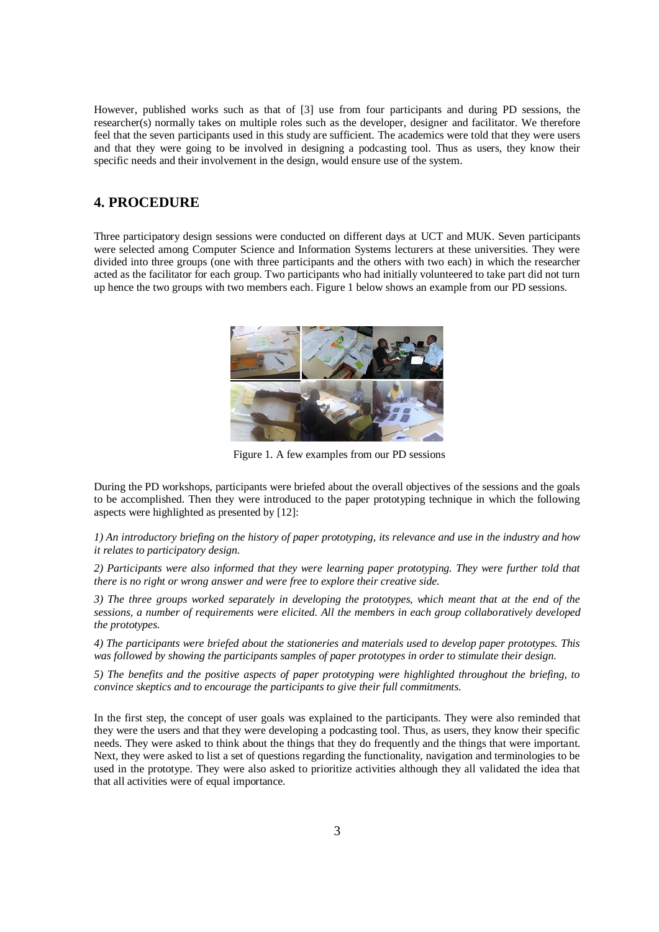However, published works such as that of [3] use from four participants and during PD sessions, the researcher(s) normally takes on multiple roles such as the developer, designer and facilitator. We therefore feel that the seven participants used in this study are sufficient. The academics were told that they were users and that they were going to be involved in designing a podcasting tool. Thus as users, they know their specific needs and their involvement in the design, would ensure use of the system.

# **4. PROCEDURE**

Three participatory design sessions were conducted on different days at UCT and MUK. Seven participants were selected among Computer Science and Information Systems lecturers at these universities. They were divided into three groups (one with three participants and the others with two each) in which the researcher acted as the facilitator for each group. Two participants who had initially volunteered to take part did not turn up hence the two groups with two members each. Figure 1 below shows an example from our PD sessions.



Figure 1. A few examples from our PD sessions

During the PD workshops, participants were briefed about the overall objectives of the sessions and the goals to be accomplished. Then they were introduced to the paper prototyping technique in which the following aspects were highlighted as presented by [12]:

*1) An introductory briefing on the history of paper prototyping, its relevance and use in the industry and how it relates to participatory design.* 

*2) Participants were also informed that they were learning paper prototyping. They were further told that there is no right or wrong answer and were free to explore their creative side.*

*3) The three groups worked separately in developing the prototypes, which meant that at the end of the sessions, a number of requirements were elicited. All the members in each group collaboratively developed the prototypes.* 

*4) The participants were briefed about the stationeries and materials used to develop paper prototypes. This was followed by showing the participants samples of paper prototypes in order to stimulate their design.* 

*5) The benefits and the positive aspects of paper prototyping were highlighted throughout the briefing, to convince skeptics and to encourage the participants to give their full commitments.* 

In the first step, the concept of user goals was explained to the participants. They were also reminded that they were the users and that they were developing a podcasting tool. Thus, as users, they know their specific needs. They were asked to think about the things that they do frequently and the things that were important. Next, they were asked to list a set of questions regarding the functionality, navigation and terminologies to be used in the prototype. They were also asked to prioritize activities although they all validated the idea that that all activities were of equal importance.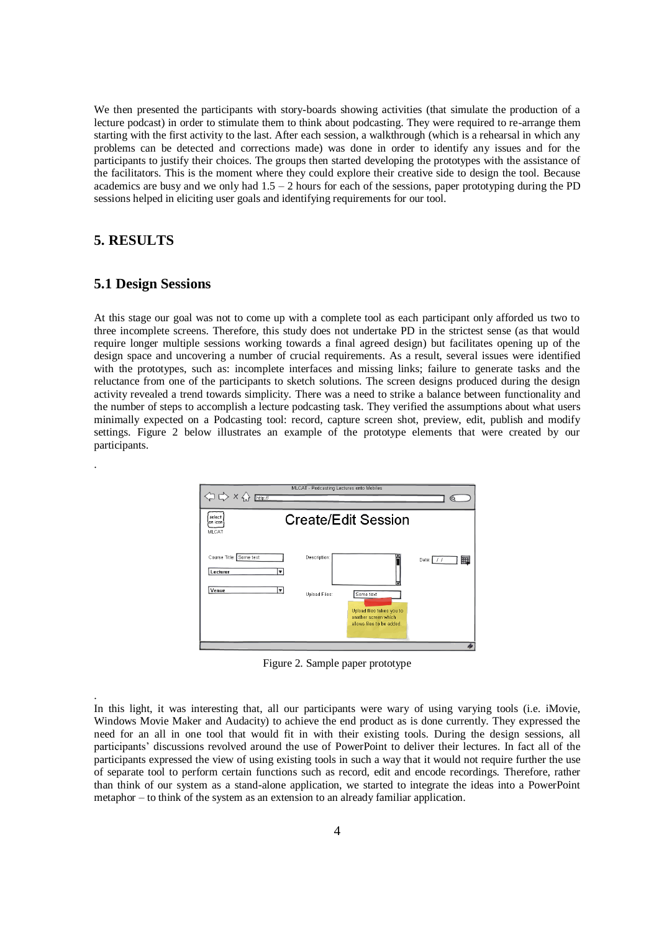We then presented the participants with story-boards showing activities (that simulate the production of a lecture podcast) in order to stimulate them to think about podcasting. They were required to re-arrange them starting with the first activity to the last. After each session, a walkthrough (which is a rehearsal in which any problems can be detected and corrections made) was done in order to identify any issues and for the participants to justify their choices. The groups then started developing the prototypes with the assistance of the facilitators. This is the moment where they could explore their creative side to design the tool. Because academics are busy and we only had  $1.5 - 2$  hours for each of the sessions, paper prototyping during the PD sessions helped in eliciting user goals and identifying requirements for our tool.

# **5. RESULTS**

.

.

## **5.1 Design Sessions**

At this stage our goal was not to come up with a complete tool as each participant only afforded us two to three incomplete screens. Therefore, this study does not undertake PD in the strictest sense (as that would require longer multiple sessions working towards a final agreed design) but facilitates opening up of the design space and uncovering a number of crucial requirements. As a result, several issues were identified with the prototypes, such as: incomplete interfaces and missing links; failure to generate tasks and the reluctance from one of the participants to sketch solutions. The screen designs produced during the design activity revealed a trend towards simplicity. There was a need to strike a balance between functionality and the number of steps to accomplish a lecture podcasting task. They verified the assumptions about what users minimally expected on a Podcasting tool: record, capture screen shot, preview, edit, publish and modify settings. Figure 2 below illustrates an example of the prototype elements that were created by our participants.



Figure 2. Sample paper prototype

In this light, it was interesting that, all our participants were wary of using varying tools (i.e. iMovie, Windows Movie Maker and Audacity) to achieve the end product as is done currently. They expressed the need for an all in one tool that would fit in with their existing tools. During the design sessions, all participants' discussions revolved around the use of PowerPoint to deliver their lectures. In fact all of the participants expressed the view of using existing tools in such a way that it would not require further the use of separate tool to perform certain functions such as record, edit and encode recordings. Therefore, rather than think of our system as a stand-alone application, we started to integrate the ideas into a PowerPoint metaphor – to think of the system as an extension to an already familiar application.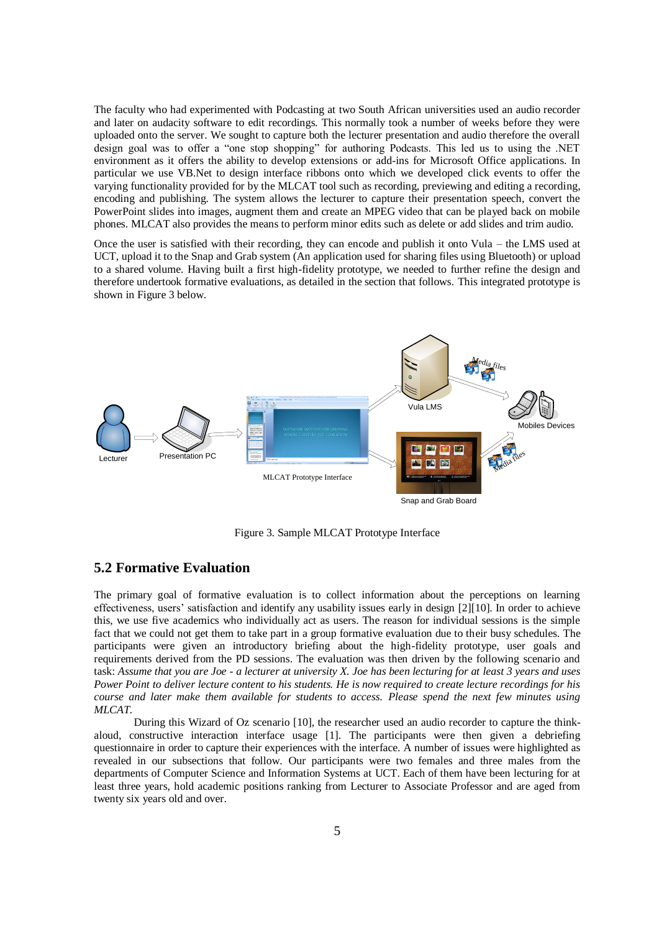The faculty who had experimented with Podcasting at two South African universities used an audio recorder and later on audacity software to edit recordings. This normally took a number of weeks before they were uploaded onto the server. We sought to capture both the lecturer presentation and audio therefore the overall design goal was to offer a "one stop shopping" for authoring Podcasts. This led us to using the .NET environment as it offers the ability to develop extensions or add-ins for Microsoft Office applications. In particular we use VB.Net to design interface ribbons onto which we developed click events to offer the varying functionality provided for by the MLCAT tool such as recording, previewing and editing a recording, encoding and publishing. The system allows the lecturer to capture their presentation speech, convert the PowerPoint slides into images, augment them and create an MPEG video that can be played back on mobile phones. MLCAT also provides the means to perform minor edits such as delete or add slides and trim audio.

Once the user is satisfied with their recording, they can encode and publish it onto Vula – the LMS used at UCT, upload it to the Snap and Grab system (An application used for sharing files using Bluetooth) or upload to a shared volume. Having built a first high-fidelity prototype, we needed to further refine the design and therefore undertook formative evaluations, as detailed in the section that follows. This integrated prototype is shown in Figure 3 below.



Figure 3. Sample MLCAT Prototype Interface

# **5.2 Formative Evaluation**

The primary goal of formative evaluation is to collect information about the perceptions on learning effectiveness, users' satisfaction and identify any usability issues early in design [2][10]. In order to achieve this, we use five academics who individually act as users. The reason for individual sessions is the simple fact that we could not get them to take part in a group formative evaluation due to their busy schedules. The participants were given an introductory briefing about the high-fidelity prototype, user goals and requirements derived from the PD sessions. The evaluation was then driven by the following scenario and task: *Assume that you are Joe - a lecturer at university X. Joe has been lecturing for at least 3 years and uses Power Point to deliver lecture content to his students. He is now required to create lecture recordings for his course and later make them available for students to access. Please spend the next few minutes using MLCAT.* 

During this Wizard of Oz scenario [10], the researcher used an audio recorder to capture the thinkaloud, constructive interaction interface usage [1]. The participants were then given a debriefing questionnaire in order to capture their experiences with the interface. A number of issues were highlighted as revealed in our subsections that follow. Our participants were two females and three males from the departments of Computer Science and Information Systems at UCT. Each of them have been lecturing for at least three years, hold academic positions ranking from Lecturer to Associate Professor and are aged from twenty six years old and over.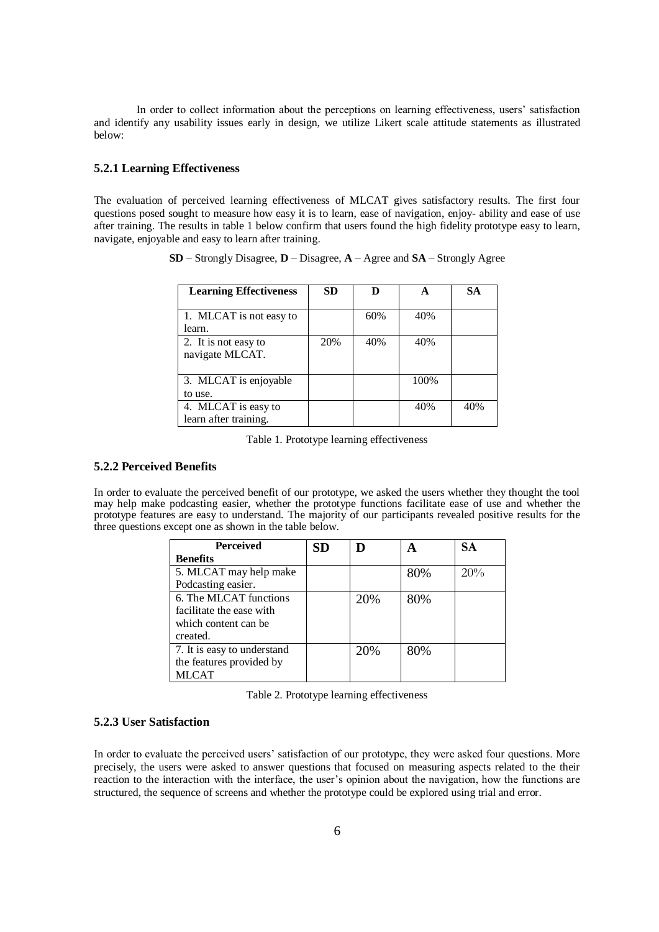In order to collect information about the perceptions on learning effectiveness, users' satisfaction and identify any usability issues early in design, we utilize Likert scale attitude statements as illustrated below:

## **5.2.1 Learning Effectiveness**

The evaluation of perceived learning effectiveness of MLCAT gives satisfactory results. The first four questions posed sought to measure how easy it is to learn, ease of navigation, enjoy- ability and ease of use after training. The results in table 1 below confirm that users found the high fidelity prototype easy to learn, navigate, enjoyable and easy to learn after training.

| <b>Learning Effectiveness</b>                | <b>SD</b> | D   | A    | SА  |
|----------------------------------------------|-----------|-----|------|-----|
| 1. MLCAT is not easy to<br>learn.            |           | 60% | 40%  |     |
| 2. It is not easy to<br>navigate MLCAT.      | 20%       | 40% | 40%  |     |
| 3. MLCAT is enjoyable<br>to use.             |           |     | 100% |     |
| 4. MLCAT is easy to<br>learn after training. |           |     | 40%  | 40% |

**SD** – Strongly Disagree, **D** – Disagree, **A** – Agree and **SA** – Strongly Agree

Table 1. Prototype learning effectiveness

## **5.2.2 Perceived Benefits**

In order to evaluate the perceived benefit of our prototype, we asked the users whether they thought the tool may help make podcasting easier, whether the prototype functions facilitate ease of use and whether the prototype features are easy to understand. The majority of our participants revealed positive results for the three questions except one as shown in the table below.

| <b>Perceived</b>            | SD |     |     | <b>SA</b> |
|-----------------------------|----|-----|-----|-----------|
| <b>Benefits</b>             |    |     |     |           |
| 5. MLCAT may help make      |    |     | 80% | 20%       |
| Podcasting easier.          |    |     |     |           |
| 6. The MLCAT functions      |    | 20% | 80% |           |
| facilitate the ease with    |    |     |     |           |
| which content can be        |    |     |     |           |
| created.                    |    |     |     |           |
| 7. It is easy to understand |    | 20% | 80% |           |
| the features provided by    |    |     |     |           |
| <b>MLCAT</b>                |    |     |     |           |

| Table 2. Prototype learning effectiveness |  |
|-------------------------------------------|--|
|-------------------------------------------|--|

## **5.2.3 User Satisfaction**

In order to evaluate the perceived users' satisfaction of our prototype, they were asked four questions. More precisely, the users were asked to answer questions that focused on measuring aspects related to the their reaction to the interaction with the interface, the user's opinion about the navigation, how the functions are structured, the sequence of screens and whether the prototype could be explored using trial and error.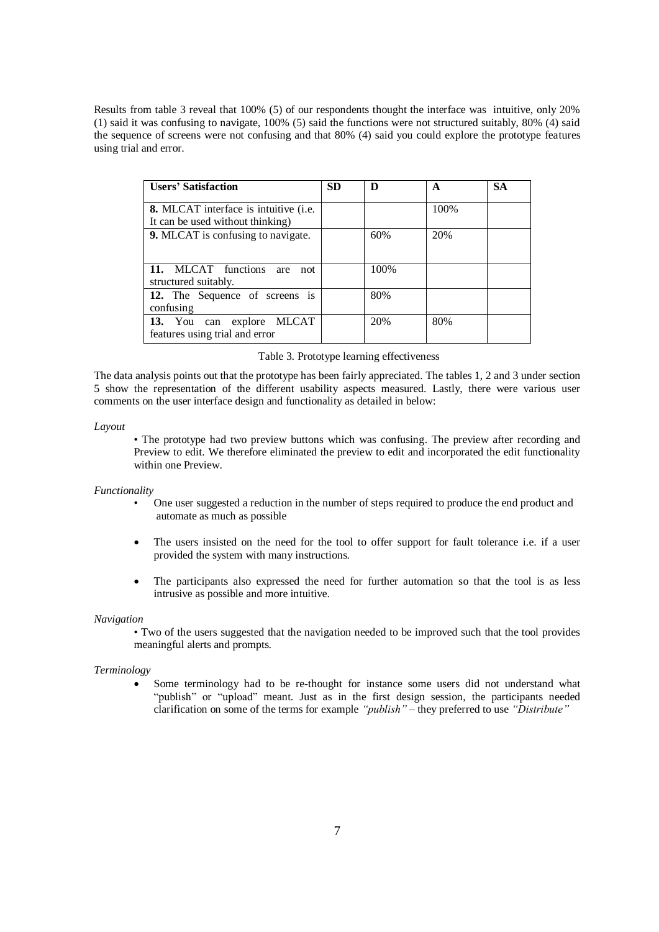Results from table 3 reveal that 100% (5) of our respondents thought the interface was intuitive, only 20% (1) said it was confusing to navigate, 100% (5) said the functions were not structured suitably, 80% (4) said the sequence of screens were not confusing and that 80% (4) said you could explore the prototype features using trial and error.

| <b>Users' Satisfaction</b>                                                | <b>SD</b> | D    | A    | <b>SA</b> |
|---------------------------------------------------------------------------|-----------|------|------|-----------|
| 8. MLCAT interface is intuitive (i.e.<br>It can be used without thinking) |           |      | 100% |           |
| 9. MLCAT is confusing to navigate.                                        |           | 60%  | 20%  |           |
| 11. MLCAT functions are<br>not<br>structured suitably.                    |           | 100% |      |           |
| 12. The Sequence of screens is<br>confusing                               |           | 80%  |      |           |
| 13. You can explore MLCAT<br>features using trial and error               |           | 20%  | 80%  |           |

#### Table 3. Prototype learning effectiveness

The data analysis points out that the prototype has been fairly appreciated. The tables 1, 2 and 3 under section 5 show the representation of the different usability aspects measured. Lastly, there were various user comments on the user interface design and functionality as detailed in below:

#### *Layout*

• The prototype had two preview buttons which was confusing. The preview after recording and Preview to edit. We therefore eliminated the preview to edit and incorporated the edit functionality within one Preview.

#### *Functionality*

- One user suggested a reduction in the number of steps required to produce the end product and automate as much as possible
- The users insisted on the need for the tool to offer support for fault tolerance i.e. if a user provided the system with many instructions.
- The participants also expressed the need for further automation so that the tool is as less intrusive as possible and more intuitive.

#### *Navigation*

• Two of the users suggested that the navigation needed to be improved such that the tool provides meaningful alerts and prompts.

#### *Terminology*

 Some terminology had to be re-thought for instance some users did not understand what "publish" or "upload" meant. Just as in the first design session, the participants needed clarification on some of the terms for example *"publish"* – they preferred to use *"Distribute"*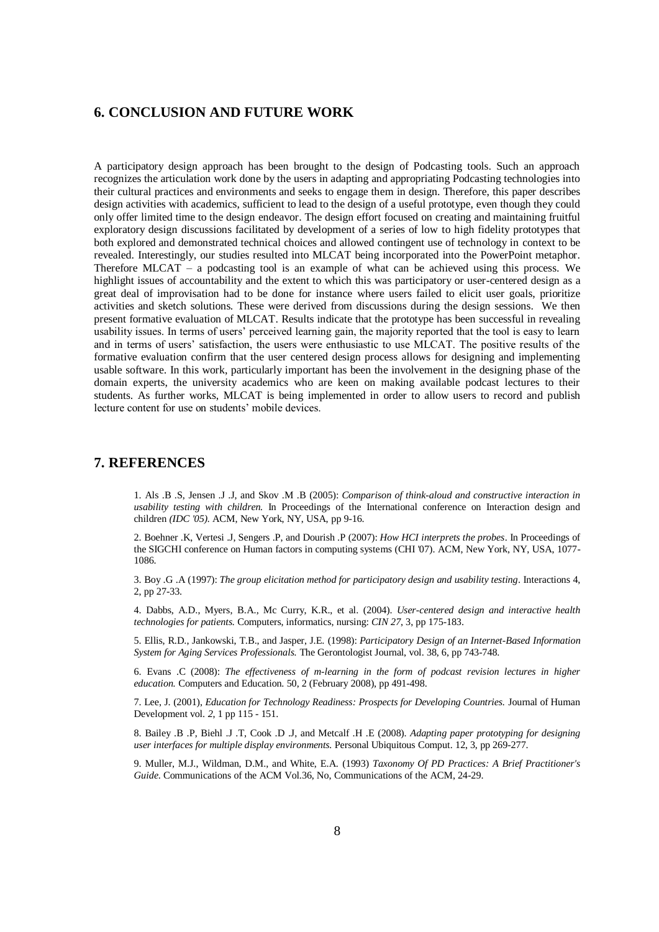# **6. CONCLUSION AND FUTURE WORK**

A participatory design approach has been brought to the design of Podcasting tools. Such an approach recognizes the articulation work done by the users in adapting and appropriating Podcasting technologies into their cultural practices and environments and seeks to engage them in design. Therefore, this paper describes design activities with academics, sufficient to lead to the design of a useful prototype, even though they could only offer limited time to the design endeavor. The design effort focused on creating and maintaining fruitful exploratory design discussions facilitated by development of a series of low to high fidelity prototypes that both explored and demonstrated technical choices and allowed contingent use of technology in context to be revealed. Interestingly, our studies resulted into MLCAT being incorporated into the PowerPoint metaphor. Therefore MLCAT – a podcasting tool is an example of what can be achieved using this process. We highlight issues of accountability and the extent to which this was participatory or user-centered design as a great deal of improvisation had to be done for instance where users failed to elicit user goals, prioritize activities and sketch solutions. These were derived from discussions during the design sessions. We then present formative evaluation of MLCAT. Results indicate that the prototype has been successful in revealing usability issues. In terms of users' perceived learning gain, the majority reported that the tool is easy to learn and in terms of users' satisfaction, the users were enthusiastic to use MLCAT. The positive results of the formative evaluation confirm that the user centered design process allows for designing and implementing usable software. In this work, particularly important has been the involvement in the designing phase of the domain experts, the university academics who are keen on making available podcast lectures to their students. As further works, MLCAT is being implemented in order to allow users to record and publish lecture content for use on students' mobile devices.

### **7. REFERENCES**

1. Als .B .S, Jensen .J .J, and Skov .M .B (2005): *Comparison of think-aloud and constructive interaction in usability testing with children.* In Proceedings of the International conference on Interaction design and children *(IDC '05).* ACM, New York, NY, USA, pp 9-16.

2. Boehner .K, Vertesi .J, Sengers .P, and Dourish .P (2007): *How HCI interprets the probes*. In Proceedings of the SIGCHI conference on Human factors in computing systems (CHI '07). ACM, New York, NY, USA, 1077- 1086.

3. Boy .G .A (1997): *The group elicitation method for participatory design and usability testing*. Interactions 4, 2, pp 27-33.

4. Dabbs, A.D., Myers, B.A., Mc Curry, K.R., et al. (2004). *User-centered design and interactive health technologies for patients.* Computers, informatics, nursing: *CIN 27*, 3, pp 175-183.

5. Ellis, R.D., Jankowski, T.B., and Jasper, J.E. (1998): *Participatory Design of an Internet-Based Information System for Aging Services Professionals.* The Gerontologist Journal, vol. 38, 6, pp 743-748.

6. Evans .C (2008): *The effectiveness of m-learning in the form of podcast revision lectures in higher education.* Computers and Education. 50, 2 (February 2008), pp 491-498.

7. Lee, J. (2001), *Education for Technology Readiness: Prospects for Developing Countries.* Journal of Human Development vol. *2*, 1 pp 115 - 151.

8. Bailey .B .P, Biehl .J .T, Cook .D .J, and Metcalf .H .E (2008). *Adapting paper prototyping for designing user interfaces for multiple display environments.* Personal Ubiquitous Comput. 12, 3, pp 269-277.

9. Muller, M.J., Wildman, D.M., and White, E.A. (1993) *Taxonomy Of PD Practices: A Brief Practitioner's Guide*. Communications of the ACM Vol.36, No, Communications of the ACM, 24-29.